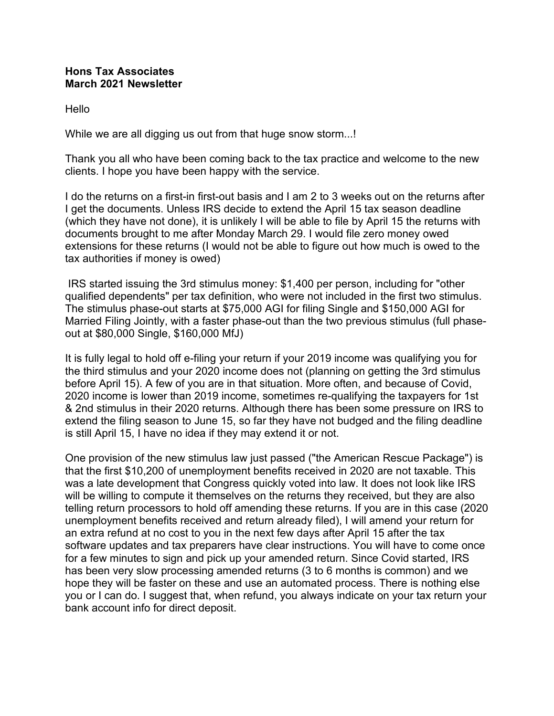## **Hons Tax Associates March 2021 Newsletter**

Hello

While we are all digging us out from that huge snow storm...!

Thank you all who have been coming back to the tax practice and welcome to the new clients. I hope you have been happy with the service.

I do the returns on a first-in first-out basis and I am 2 to 3 weeks out on the returns after I get the documents. Unless IRS decide to extend the April 15 tax season deadline (which they have not done), it is unlikely I will be able to file by April 15 the returns with documents brought to me after Monday March 29. I would file zero money owed extensions for these returns (I would not be able to figure out how much is owed to the tax authorities if money is owed)

 IRS started issuing the 3rd stimulus money: \$1,400 per person, including for "other qualified dependents" per tax definition, who were not included in the first two stimulus. The stimulus phase-out starts at \$75,000 AGI for filing Single and \$150,000 AGI for Married Filing Jointly, with a faster phase-out than the two previous stimulus (full phaseout at \$80,000 Single, \$160,000 MfJ)

It is fully legal to hold off e-filing your return if your 2019 income was qualifying you for the third stimulus and your 2020 income does not (planning on getting the 3rd stimulus before April 15). A few of you are in that situation. More often, and because of Covid, 2020 income is lower than 2019 income, sometimes re-qualifying the taxpayers for 1st & 2nd stimulus in their 2020 returns. Although there has been some pressure on IRS to extend the filing season to June 15, so far they have not budged and the filing deadline is still April 15, I have no idea if they may extend it or not.

One provision of the new stimulus law just passed ("the American Rescue Package") is that the first \$10,200 of unemployment benefits received in 2020 are not taxable. This was a late development that Congress quickly voted into law. It does not look like IRS will be willing to compute it themselves on the returns they received, but they are also telling return processors to hold off amending these returns. If you are in this case (2020 unemployment benefits received and return already filed), I will amend your return for an extra refund at no cost to you in the next few days after April 15 after the tax software updates and tax preparers have clear instructions. You will have to come once for a few minutes to sign and pick up your amended return. Since Covid started, IRS has been very slow processing amended returns (3 to 6 months is common) and we hope they will be faster on these and use an automated process. There is nothing else you or I can do. I suggest that, when refund, you always indicate on your tax return your bank account info for direct deposit.